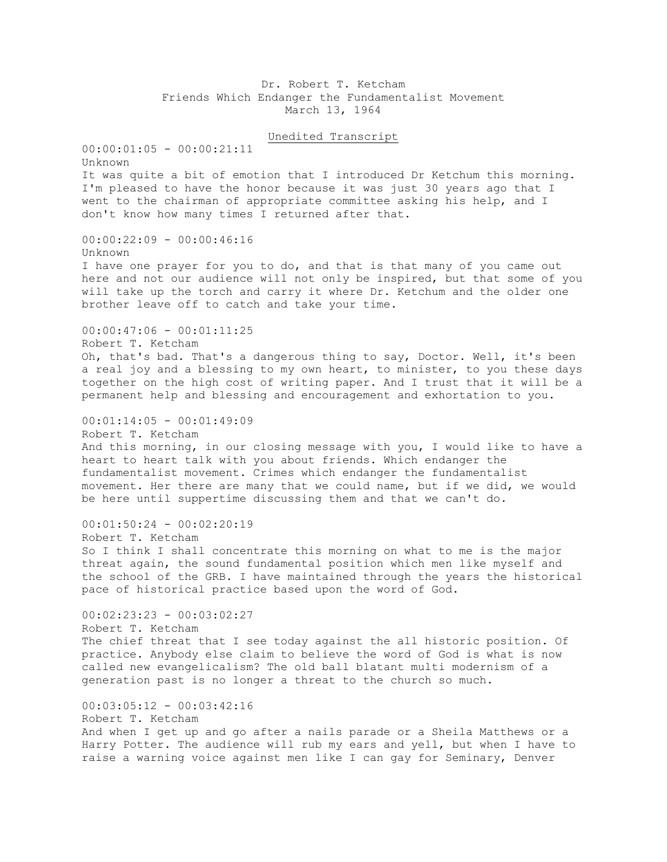Dr. Robert T. Ketcham Friends Which Endanger the Fundamentalist Movement March 13, 1964

Unedited Transcript

 $00:00:01:05 - 00:00:21:11$ Unknown It was quite a bit of emotion that I introduced Dr Ketchum this morning. I'm pleased to have the honor because it was just 30 years ago that I went to the chairman of appropriate committee asking his help, and I don't know how many times I returned after that. 00:00:22:09 - 00:00:46:16 Unknown I have one prayer for you to do, and that is that many of you came out here and not our audience will not only be inspired, but that some of you will take up the torch and carry it where Dr. Ketchum and the older one brother leave off to catch and take your time.  $00:00:47:06 - 00:01:11:25$ Robert T. Ketcham Oh, that's bad. That's a dangerous thing to say, Doctor. Well, it's been a real joy and a blessing to my own heart, to minister, to you these days together on the high cost of writing paper. And I trust that it will be a permanent help and blessing and encouragement and exhortation to you. 00:01:14:05 - 00:01:49:09 Robert T. Ketcham And this morning, in our closing message with you, I would like to have a heart to heart talk with you about friends. Which endanger the fundamentalist movement. Crimes which endanger the fundamentalist movement. Her there are many that we could name, but if we did, we would be here until suppertime discussing them and that we can't do. 00:01:50:24 - 00:02:20:19 Robert T. Ketcham So I think I shall concentrate this morning on what to me is the major threat again, the sound fundamental position which men like myself and the school of the GRB. I have maintained through the years the historical pace of historical practice based upon the word of God.  $00:02:23:23 - 00:03:02:27$ Robert T. Ketcham The chief threat that I see today against the all historic position. Of practice. Anybody else claim to believe the word of God is what is now called new evangelicalism? The old ball blatant multi modernism of a generation past is no longer a threat to the church so much. 00:03:05:12 - 00:03:42:16 Robert T. Ketcham And when I get up and go after a nails parade or a Sheila Matthews or a Harry Potter. The audience will rub my ears and yell, but when I have to raise a warning voice against men like I can gay for Seminary, Denver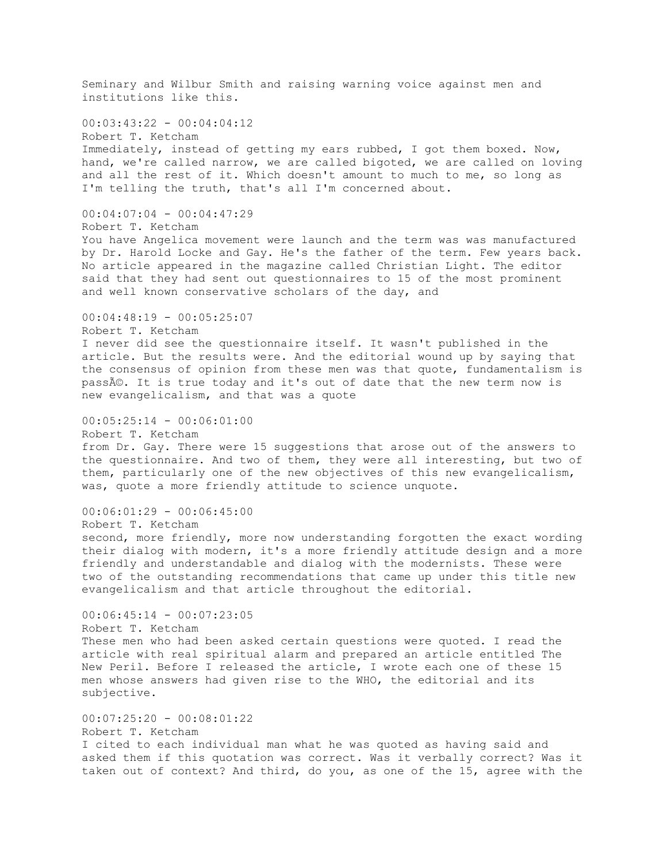Seminary and Wilbur Smith and raising warning voice against men and institutions like this.  $00:03:43:22 - 00:04:04:12$ Robert T. Ketcham Immediately, instead of getting my ears rubbed, I got them boxed. Now, hand, we're called narrow, we are called bigoted, we are called on loving and all the rest of it. Which doesn't amount to much to me, so long as I'm telling the truth, that's all I'm concerned about. 00:04:07:04 - 00:04:47:29 Robert T. Ketcham You have Angelica movement were launch and the term was was manufactured by Dr. Harold Locke and Gay. He's the father of the term. Few years back. No article appeared in the magazine called Christian Light. The editor said that they had sent out questionnaires to 15 of the most prominent and well known conservative scholars of the day, and  $00:04:48:19 - 00:05:25:07$ Robert T. Ketcham I never did see the questionnaire itself. It wasn't published in the article. But the results were. And the editorial wound up by saying that the consensus of opinion from these men was that quote, fundamentalism is passé. It is true today and it's out of date that the new term now is new evangelicalism, and that was a quote 00:05:25:14 - 00:06:01:00 Robert T. Ketcham from Dr. Gay. There were 15 suggestions that arose out of the answers to the questionnaire. And two of them, they were all interesting, but two of them, particularly one of the new objectives of this new evangelicalism, was, quote a more friendly attitude to science unquote. 00:06:01:29 - 00:06:45:00 Robert T. Ketcham second, more friendly, more now understanding forgotten the exact wording their dialog with modern, it's a more friendly attitude design and a more friendly and understandable and dialog with the modernists. These were two of the outstanding recommendations that came up under this title new evangelicalism and that article throughout the editorial.  $00:06:45:14 - 00:07:23:05$ Robert T. Ketcham These men who had been asked certain questions were quoted. I read the article with real spiritual alarm and prepared an article entitled The New Peril. Before I released the article, I wrote each one of these 15 men whose answers had given rise to the WHO, the editorial and its subjective. 00:07:25:20 - 00:08:01:22 Robert T. Ketcham I cited to each individual man what he was quoted as having said and asked them if this quotation was correct. Was it verbally correct? Was it taken out of context? And third, do you, as one of the 15, agree with the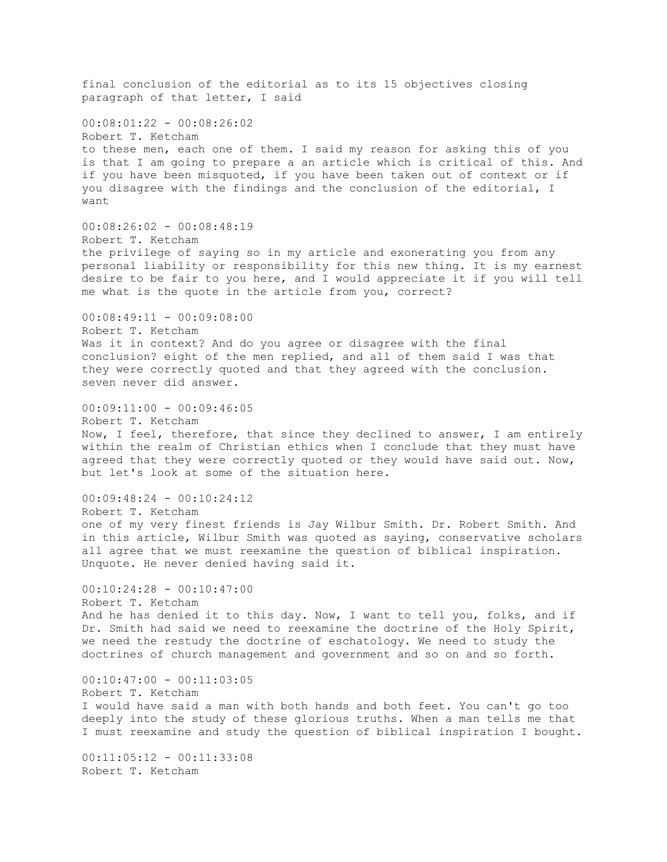final conclusion of the editorial as to its 15 objectives closing paragraph of that letter, I said  $00:08:01:22 - 00:08:26:02$ Robert T. Ketcham to these men, each one of them. I said my reason for asking this of you is that I am going to prepare a an article which is critical of this. And if you have been misquoted, if you have been taken out of context or if you disagree with the findings and the conclusion of the editorial, I want 00:08:26:02 - 00:08:48:19 Robert T. Ketcham the privilege of saying so in my article and exonerating you from any personal liability or responsibility for this new thing. It is my earnest desire to be fair to you here, and I would appreciate it if you will tell me what is the quote in the article from you, correct?  $00:08:49:11 - 00:09:08:00$ Robert T. Ketcham Was it in context? And do you agree or disagree with the final conclusion? eight of the men replied, and all of them said I was that they were correctly quoted and that they agreed with the conclusion. seven never did answer.  $00:09:11:00 - 00:09:46:05$ Robert T. Ketcham Now, I feel, therefore, that since they declined to answer, I am entirely within the realm of Christian ethics when I conclude that they must have agreed that they were correctly quoted or they would have said out. Now, but let's look at some of the situation here.  $00:09:48:24 - 00:10:24:12$ Robert T. Ketcham one of my very finest friends is Jay Wilbur Smith. Dr. Robert Smith. And in this article, Wilbur Smith was quoted as saying, conservative scholars all agree that we must reexamine the question of biblical inspiration. Unquote. He never denied having said it.  $00:10:24:28 - 00:10:47:00$ Robert T. Ketcham And he has denied it to this day. Now, I want to tell you, folks, and if Dr. Smith had said we need to reexamine the doctrine of the Holy Spirit, we need the restudy the doctrine of eschatology. We need to study the doctrines of church management and government and so on and so forth.  $00:10:47:00 - 00:11:03:05$ Robert T. Ketcham I would have said a man with both hands and both feet. You can't go too deeply into the study of these glorious truths. When a man tells me that I must reexamine and study the question of biblical inspiration I bought. 00:11:05:12 - 00:11:33:08 Robert T. Ketcham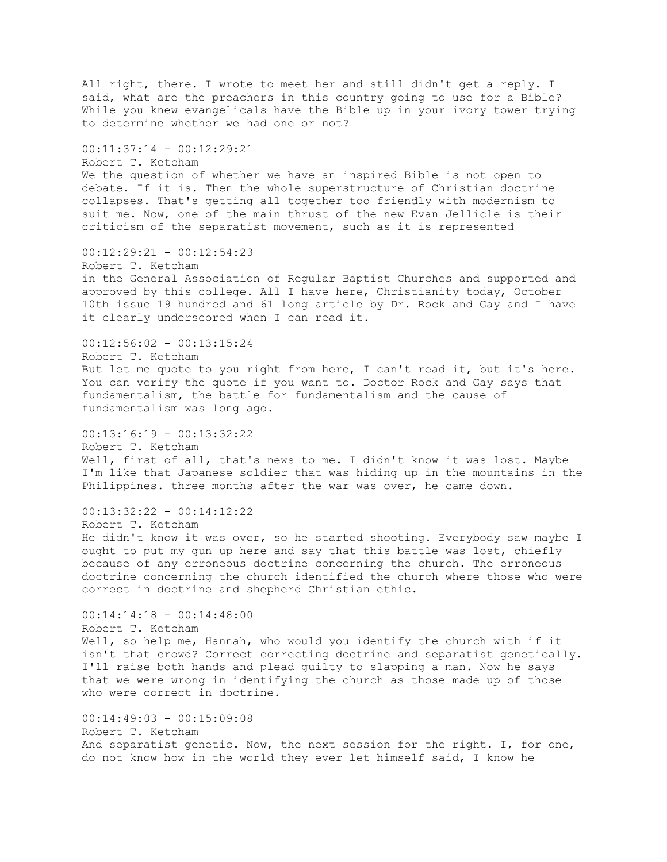All right, there. I wrote to meet her and still didn't get a reply. I said, what are the preachers in this country going to use for a Bible? While you knew evangelicals have the Bible up in your ivory tower trying to determine whether we had one or not? 00:11:37:14 - 00:12:29:21 Robert T. Ketcham We the question of whether we have an inspired Bible is not open to debate. If it is. Then the whole superstructure of Christian doctrine collapses. That's getting all together too friendly with modernism to suit me. Now, one of the main thrust of the new Evan Jellicle is their criticism of the separatist movement, such as it is represented 00:12:29:21 - 00:12:54:23 Robert T. Ketcham in the General Association of Regular Baptist Churches and supported and approved by this college. All I have here, Christianity today, October 10th issue 19 hundred and 61 long article by Dr. Rock and Gay and I have it clearly underscored when I can read it. 00:12:56:02 - 00:13:15:24 Robert T. Ketcham But let me quote to you right from here, I can't read it, but it's here. You can verify the quote if you want to. Doctor Rock and Gay says that fundamentalism, the battle for fundamentalism and the cause of fundamentalism was long ago.  $00:13:16:19 - 00:13:32:22$ Robert T. Ketcham Well, first of all, that's news to me. I didn't know it was lost. Maybe I'm like that Japanese soldier that was hiding up in the mountains in the Philippines. three months after the war was over, he came down. 00:13:32:22 - 00:14:12:22 Robert T. Ketcham He didn't know it was over, so he started shooting. Everybody saw maybe I ought to put my gun up here and say that this battle was lost, chiefly because of any erroneous doctrine concerning the church. The erroneous doctrine concerning the church identified the church where those who were correct in doctrine and shepherd Christian ethic.  $00:14:14:18 - 00:14:48:00$ Robert T. Ketcham Well, so help me, Hannah, who would you identify the church with if it isn't that crowd? Correct correcting doctrine and separatist genetically. I'll raise both hands and plead guilty to slapping a man. Now he says that we were wrong in identifying the church as those made up of those who were correct in doctrine. 00:14:49:03 - 00:15:09:08 Robert T. Ketcham And separatist genetic. Now, the next session for the right. I, for one, do not know how in the world they ever let himself said, I know he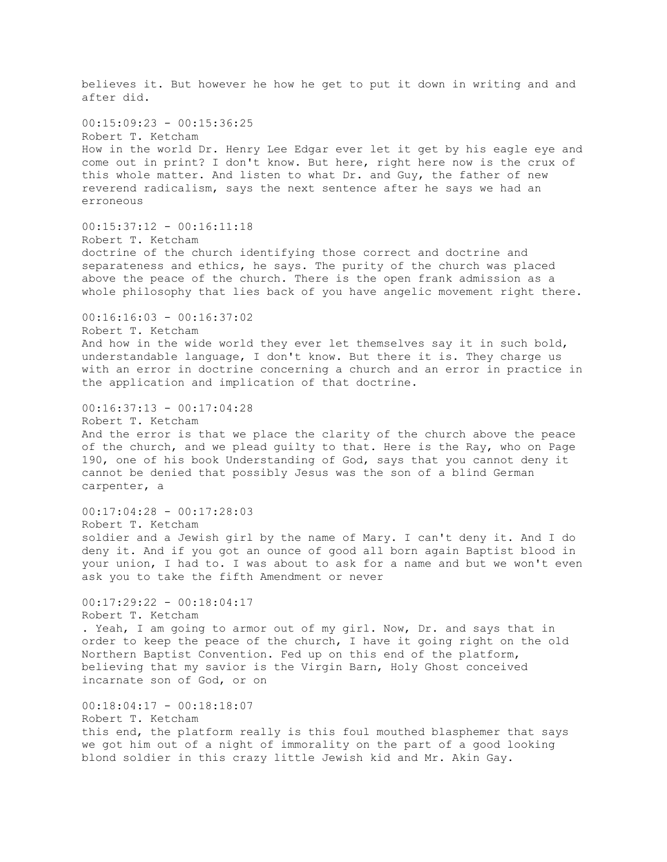believes it. But however he how he get to put it down in writing and and after did.  $00:15:09:23 - 00:15:36:25$ Robert T. Ketcham How in the world Dr. Henry Lee Edgar ever let it get by his eagle eye and come out in print? I don't know. But here, right here now is the crux of this whole matter. And listen to what Dr. and Guy, the father of new reverend radicalism, says the next sentence after he says we had an erroneous  $00:15:37:12 - 00:16:11:18$ Robert T. Ketcham doctrine of the church identifying those correct and doctrine and separateness and ethics, he says. The purity of the church was placed above the peace of the church. There is the open frank admission as a whole philosophy that lies back of you have angelic movement right there.  $00:16:16:03 - 00:16:37:02$ Robert T. Ketcham And how in the wide world they ever let themselves say it in such bold, understandable language, I don't know. But there it is. They charge us with an error in doctrine concerning a church and an error in practice in the application and implication of that doctrine. 00:16:37:13 - 00:17:04:28 Robert T. Ketcham And the error is that we place the clarity of the church above the peace of the church, and we plead guilty to that. Here is the Ray, who on Page 190, one of his book Understanding of God, says that you cannot deny it cannot be denied that possibly Jesus was the son of a blind German carpenter, a  $00:17:04:28 - 00:17:28:03$ Robert T. Ketcham soldier and a Jewish girl by the name of Mary. I can't deny it. And I do deny it. And if you got an ounce of good all born again Baptist blood in your union, I had to. I was about to ask for a name and but we won't even ask you to take the fifth Amendment or never 00:17:29:22 - 00:18:04:17 Robert T. Ketcham . Yeah, I am going to armor out of my girl. Now, Dr. and says that in order to keep the peace of the church, I have it going right on the old Northern Baptist Convention. Fed up on this end of the platform, believing that my savior is the Virgin Barn, Holy Ghost conceived incarnate son of God, or on 00:18:04:17 - 00:18:18:07 Robert T. Ketcham this end, the platform really is this foul mouthed blasphemer that says we got him out of a night of immorality on the part of a good looking blond soldier in this crazy little Jewish kid and Mr. Akin Gay.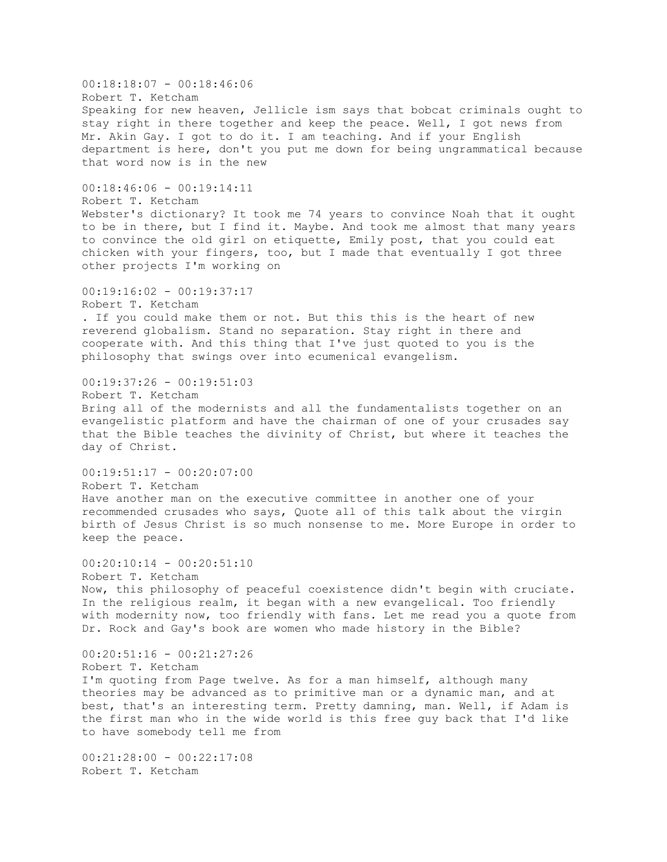00:18:18:07 - 00:18:46:06 Robert T. Ketcham Speaking for new heaven, Jellicle ism says that bobcat criminals ought to stay right in there together and keep the peace. Well, I got news from Mr. Akin Gay. I got to do it. I am teaching. And if your English department is here, don't you put me down for being ungrammatical because that word now is in the new  $00:18:46:06 - 00:19:14:11$ Robert T. Ketcham Webster's dictionary? It took me 74 years to convince Noah that it ought to be in there, but I find it. Maybe. And took me almost that many years to convince the old girl on etiquette, Emily post, that you could eat chicken with your fingers, too, but I made that eventually I got three other projects I'm working on 00:19:16:02 - 00:19:37:17 Robert T. Ketcham . If you could make them or not. But this this is the heart of new reverend globalism. Stand no separation. Stay right in there and cooperate with. And this thing that I've just quoted to you is the philosophy that swings over into ecumenical evangelism. 00:19:37:26 - 00:19:51:03 Robert T. Ketcham Bring all of the modernists and all the fundamentalists together on an evangelistic platform and have the chairman of one of your crusades say that the Bible teaches the divinity of Christ, but where it teaches the day of Christ.  $00:19:51:17 - 00:20:07:00$ Robert T. Ketcham Have another man on the executive committee in another one of your recommended crusades who says, Quote all of this talk about the virgin birth of Jesus Christ is so much nonsense to me. More Europe in order to keep the peace. 00:20:10:14 - 00:20:51:10 Robert T. Ketcham Now, this philosophy of peaceful coexistence didn't begin with cruciate. In the religious realm, it began with a new evangelical. Too friendly with modernity now, too friendly with fans. Let me read you a quote from Dr. Rock and Gay's book are women who made history in the Bible?  $00:20:51:16 - 00:21:27:26$ Robert T. Ketcham I'm quoting from Page twelve. As for a man himself, although many theories may be advanced as to primitive man or a dynamic man, and at best, that's an interesting term. Pretty damning, man. Well, if Adam is the first man who in the wide world is this free guy back that I'd like to have somebody tell me from  $00:21:28:00 - 00:22:17:08$ 

Robert T. Ketcham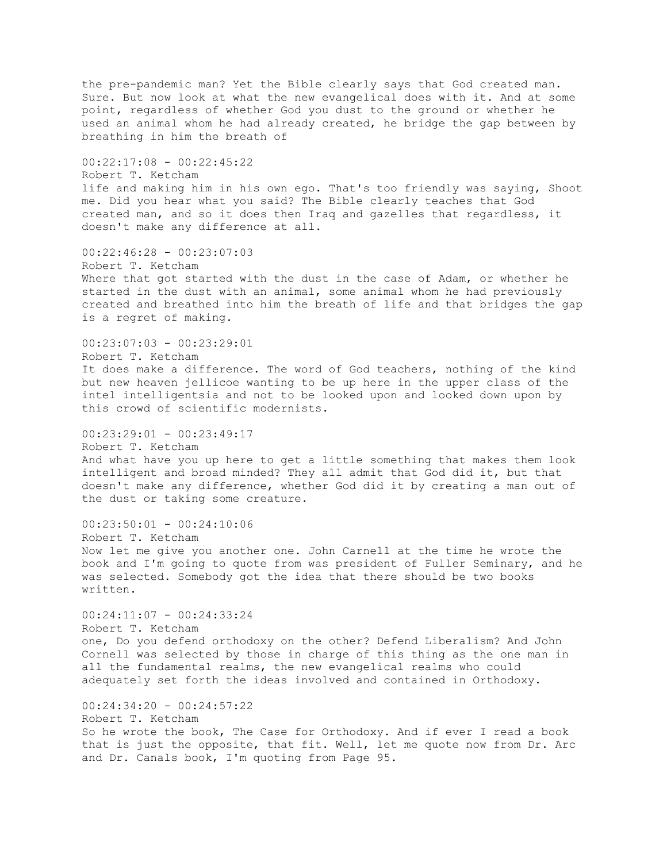the pre-pandemic man? Yet the Bible clearly says that God created man. Sure. But now look at what the new evangelical does with it. And at some point, regardless of whether God you dust to the ground or whether he used an animal whom he had already created, he bridge the gap between by breathing in him the breath of  $00:22:17:08 - 00:22:45:22$ Robert T. Ketcham life and making him in his own ego. That's too friendly was saying, Shoot me. Did you hear what you said? The Bible clearly teaches that God created man, and so it does then Iraq and gazelles that regardless, it doesn't make any difference at all. 00:22:46:28 - 00:23:07:03 Robert T. Ketcham Where that got started with the dust in the case of Adam, or whether he started in the dust with an animal, some animal whom he had previously created and breathed into him the breath of life and that bridges the gap is a regret of making. 00:23:07:03 - 00:23:29:01 Robert T. Ketcham It does make a difference. The word of God teachers, nothing of the kind but new heaven jellicoe wanting to be up here in the upper class of the intel intelligentsia and not to be looked upon and looked down upon by this crowd of scientific modernists.  $00:23:29:01 - 00:23:49:17$ Robert T. Ketcham And what have you up here to get a little something that makes them look intelligent and broad minded? They all admit that God did it, but that doesn't make any difference, whether God did it by creating a man out of the dust or taking some creature. 00:23:50:01 - 00:24:10:06 Robert T. Ketcham Now let me give you another one. John Carnell at the time he wrote the book and I'm going to quote from was president of Fuller Seminary, and he was selected. Somebody got the idea that there should be two books written.  $00:24:11:07 - 00:24:33:24$ Robert T. Ketcham one, Do you defend orthodoxy on the other? Defend Liberalism? And John Cornell was selected by those in charge of this thing as the one man in all the fundamental realms, the new evangelical realms who could adequately set forth the ideas involved and contained in Orthodoxy. 00:24:34:20 - 00:24:57:22 Robert T. Ketcham So he wrote the book, The Case for Orthodoxy. And if ever I read a book that is just the opposite, that fit. Well, let me quote now from Dr. Arc and Dr. Canals book, I'm quoting from Page 95.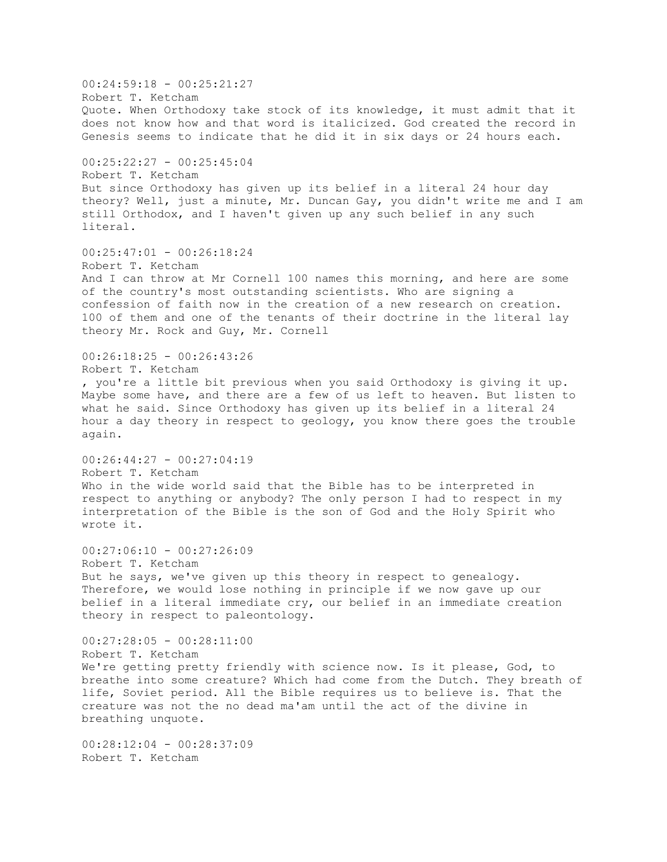00:24:59:18 - 00:25:21:27 Robert T. Ketcham Quote. When Orthodoxy take stock of its knowledge, it must admit that it does not know how and that word is italicized. God created the record in Genesis seems to indicate that he did it in six days or 24 hours each. 00:25:22:27 - 00:25:45:04 Robert T. Ketcham But since Orthodoxy has given up its belief in a literal 24 hour day theory? Well, just a minute, Mr. Duncan Gay, you didn't write me and I am still Orthodox, and I haven't given up any such belief in any such literal. 00:25:47:01 - 00:26:18:24 Robert T. Ketcham And I can throw at Mr Cornell 100 names this morning, and here are some of the country's most outstanding scientists. Who are signing a confession of faith now in the creation of a new research on creation. 100 of them and one of the tenants of their doctrine in the literal lay theory Mr. Rock and Guy, Mr. Cornell 00:26:18:25 - 00:26:43:26 Robert T. Ketcham , you're a little bit previous when you said Orthodoxy is giving it up. Maybe some have, and there are a few of us left to heaven. But listen to what he said. Since Orthodoxy has given up its belief in a literal 24 hour a day theory in respect to geology, you know there goes the trouble again.  $00:26:44:27 - 00:27:04:19$ Robert T. Ketcham Who in the wide world said that the Bible has to be interpreted in respect to anything or anybody? The only person I had to respect in my interpretation of the Bible is the son of God and the Holy Spirit who wrote it.  $00:27:06:10 - 00:27:26:09$ Robert T. Ketcham But he says, we've given up this theory in respect to genealogy. Therefore, we would lose nothing in principle if we now gave up our belief in a literal immediate cry, our belief in an immediate creation theory in respect to paleontology.  $00:27:28:05 - 00:28:11:00$ Robert T. Ketcham We're getting pretty friendly with science now. Is it please, God, to breathe into some creature? Which had come from the Dutch. They breath of life, Soviet period. All the Bible requires us to believe is. That the creature was not the no dead ma'am until the act of the divine in breathing unquote. 00:28:12:04 - 00:28:37:09 Robert T. Ketcham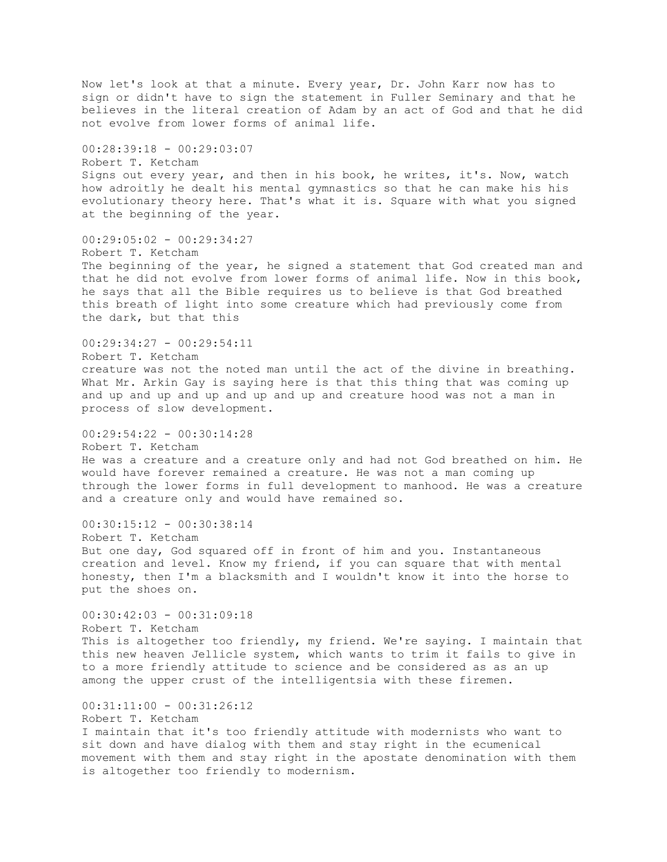Now let's look at that a minute. Every year, Dr. John Karr now has to sign or didn't have to sign the statement in Fuller Seminary and that he believes in the literal creation of Adam by an act of God and that he did not evolve from lower forms of animal life. 00:28:39:18 - 00:29:03:07 Robert T. Ketcham Signs out every year, and then in his book, he writes, it's. Now, watch how adroitly he dealt his mental gymnastics so that he can make his his evolutionary theory here. That's what it is. Square with what you signed at the beginning of the year. 00:29:05:02 - 00:29:34:27 Robert T. Ketcham The beginning of the year, he signed a statement that God created man and that he did not evolve from lower forms of animal life. Now in this book, he says that all the Bible requires us to believe is that God breathed this breath of light into some creature which had previously come from the dark, but that this  $00:29:34:27 - 00:29:54:11$ Robert T. Ketcham creature was not the noted man until the act of the divine in breathing. What Mr. Arkin Gay is saying here is that this thing that was coming up and up and up and up and up and up and creature hood was not a man in process of slow development.  $00:29:54:22 - 00:30:14:28$ Robert T. Ketcham He was a creature and a creature only and had not God breathed on him. He would have forever remained a creature. He was not a man coming up through the lower forms in full development to manhood. He was a creature and a creature only and would have remained so.  $00:30:15:12 - 00:30:38:14$ Robert T. Ketcham But one day, God squared off in front of him and you. Instantaneous creation and level. Know my friend, if you can square that with mental honesty, then I'm a blacksmith and I wouldn't know it into the horse to put the shoes on.  $00:30:42:03 - 00:31:09:18$ Robert T. Ketcham This is altogether too friendly, my friend. We're saying. I maintain that this new heaven Jellicle system, which wants to trim it fails to give in to a more friendly attitude to science and be considered as as an up among the upper crust of the intelligentsia with these firemen. 00:31:11:00 - 00:31:26:12 Robert T. Ketcham I maintain that it's too friendly attitude with modernists who want to sit down and have dialog with them and stay right in the ecumenical movement with them and stay right in the apostate denomination with them is altogether too friendly to modernism.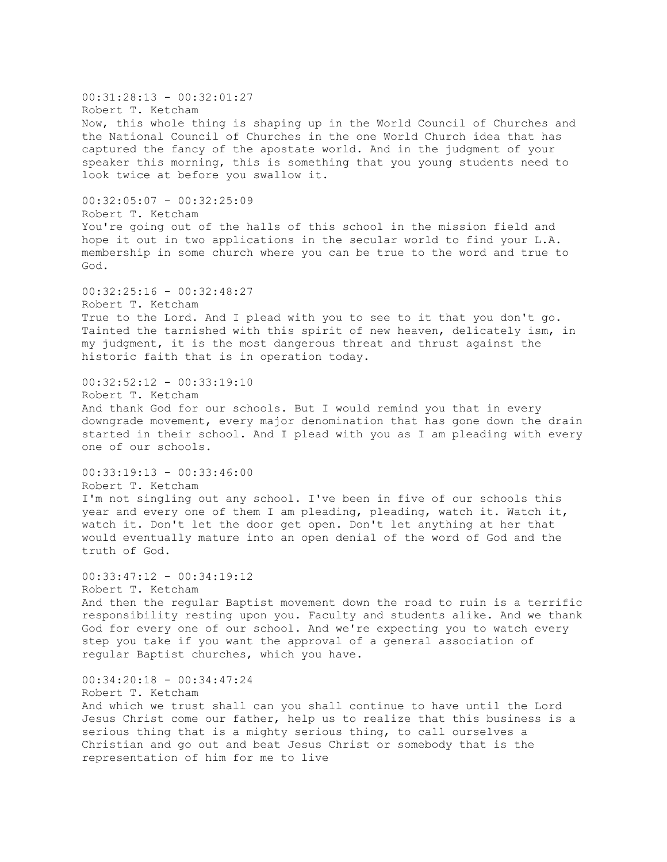$00:31:28:13 - 00:32:01:27$ Robert T. Ketcham Now, this whole thing is shaping up in the World Council of Churches and the National Council of Churches in the one World Church idea that has captured the fancy of the apostate world. And in the judgment of your speaker this morning, this is something that you young students need to look twice at before you swallow it. 00:32:05:07 - 00:32:25:09 Robert T. Ketcham You're going out of the halls of this school in the mission field and hope it out in two applications in the secular world to find your L.A. membership in some church where you can be true to the word and true to God.  $00:32:25:16 - 00:32:48:27$ Robert T. Ketcham True to the Lord. And I plead with you to see to it that you don't go. Tainted the tarnished with this spirit of new heaven, delicately ism, in my judgment, it is the most dangerous threat and thrust against the historic faith that is in operation today. 00:32:52:12 - 00:33:19:10 Robert T. Ketcham And thank God for our schools. But I would remind you that in every downgrade movement, every major denomination that has gone down the drain started in their school. And I plead with you as I am pleading with every one of our schools.  $00:33:19:13 - 00:33:46:00$ Robert T. Ketcham I'm not singling out any school. I've been in five of our schools this year and every one of them I am pleading, pleading, watch it. Watch it, watch it. Don't let the door get open. Don't let anything at her that would eventually mature into an open denial of the word of God and the truth of God. 00:33:47:12 - 00:34:19:12 Robert T. Ketcham And then the regular Baptist movement down the road to ruin is a terrific responsibility resting upon you. Faculty and students alike. And we thank God for every one of our school. And we're expecting you to watch every step you take if you want the approval of a general association of regular Baptist churches, which you have. 00:34:20:18 - 00:34:47:24 Robert T. Ketcham And which we trust shall can you shall continue to have until the Lord Jesus Christ come our father, help us to realize that this business is a serious thing that is a mighty serious thing, to call ourselves a Christian and go out and beat Jesus Christ or somebody that is the representation of him for me to live